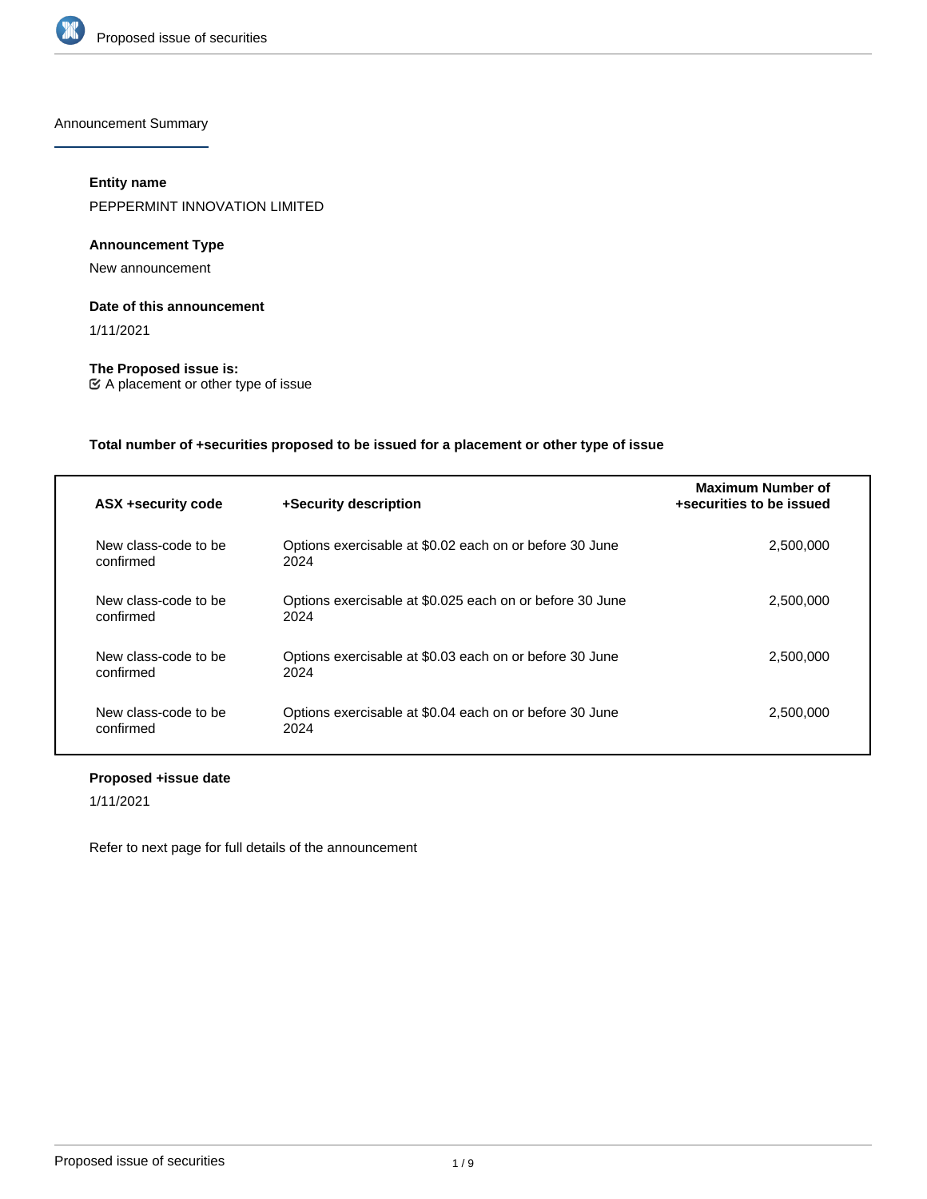

Announcement Summary

# **Entity name**

PEPPERMINT INNOVATION LIMITED

# **Announcement Type**

New announcement

# **Date of this announcement**

1/11/2021

# **The Proposed issue is:**

A placement or other type of issue

# **Total number of +securities proposed to be issued for a placement or other type of issue**

| ASX +security code                | +Security description                                            | Maximum Number of<br>+securities to be issued |
|-----------------------------------|------------------------------------------------------------------|-----------------------------------------------|
| New class-code to be<br>confirmed | Options exercisable at \$0.02 each on or before 30 June<br>2024  | 2,500,000                                     |
| New class-code to be<br>confirmed | Options exercisable at \$0.025 each on or before 30 June<br>2024 | 2,500,000                                     |
| New class-code to be<br>confirmed | Options exercisable at \$0.03 each on or before 30 June<br>2024  | 2.500.000                                     |
| New class-code to be<br>confirmed | Options exercisable at \$0.04 each on or before 30 June<br>2024  | 2,500,000                                     |

# **Proposed +issue date**

1/11/2021

Refer to next page for full details of the announcement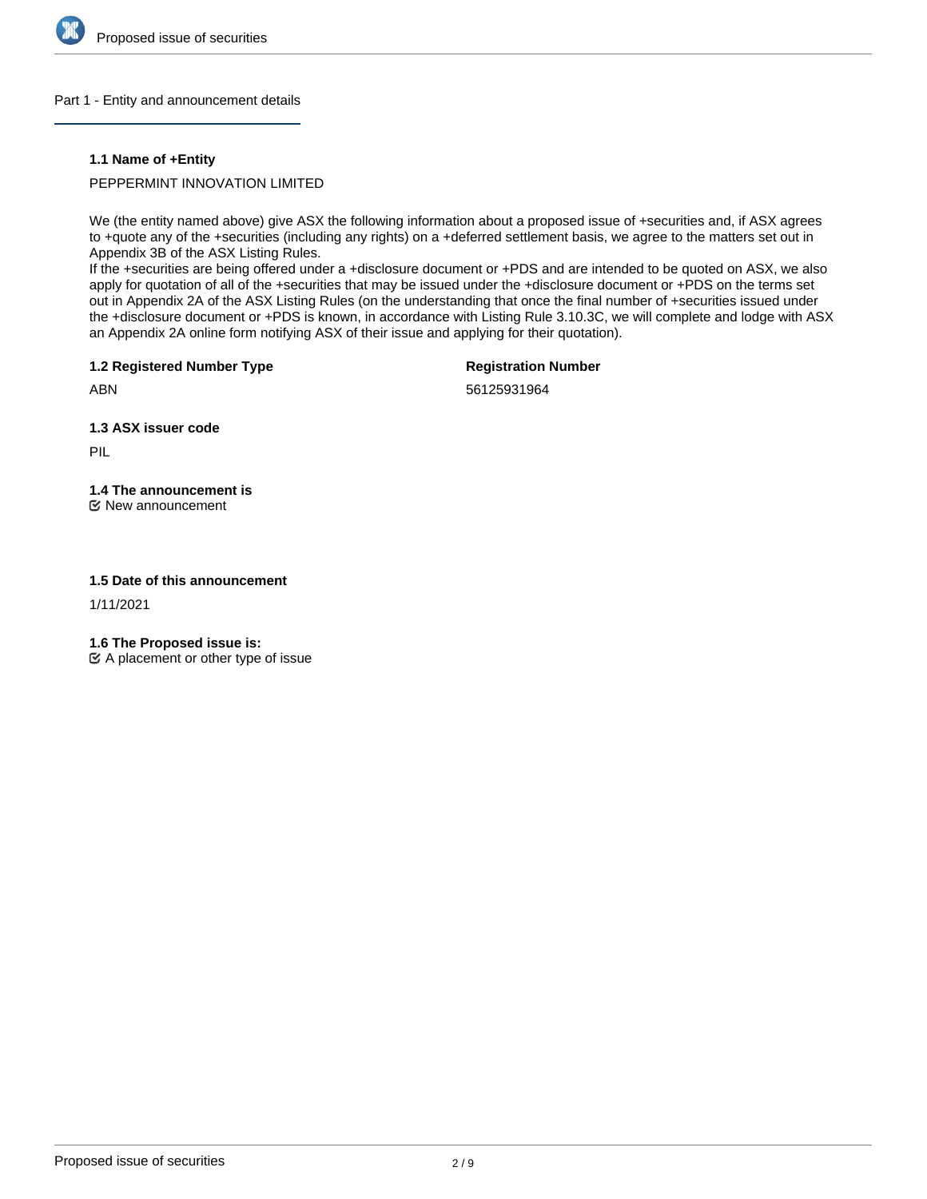

# Part 1 - Entity and announcement details

# **1.1 Name of +Entity**

PEPPERMINT INNOVATION LIMITED

We (the entity named above) give ASX the following information about a proposed issue of +securities and, if ASX agrees to +quote any of the +securities (including any rights) on a +deferred settlement basis, we agree to the matters set out in Appendix 3B of the ASX Listing Rules.

If the +securities are being offered under a +disclosure document or +PDS and are intended to be quoted on ASX, we also apply for quotation of all of the +securities that may be issued under the +disclosure document or +PDS on the terms set out in Appendix 2A of the ASX Listing Rules (on the understanding that once the final number of +securities issued under the +disclosure document or +PDS is known, in accordance with Listing Rule 3.10.3C, we will complete and lodge with ASX an Appendix 2A online form notifying ASX of their issue and applying for their quotation).

**1.2 Registered Number Type**

**Registration Number**

ABN

56125931964

**1.3 ASX issuer code**

PIL

**1.4 The announcement is** New announcement

# **1.5 Date of this announcement**

1/11/2021

**1.6 The Proposed issue is:**

 $\mathfrak{C}$  A placement or other type of issue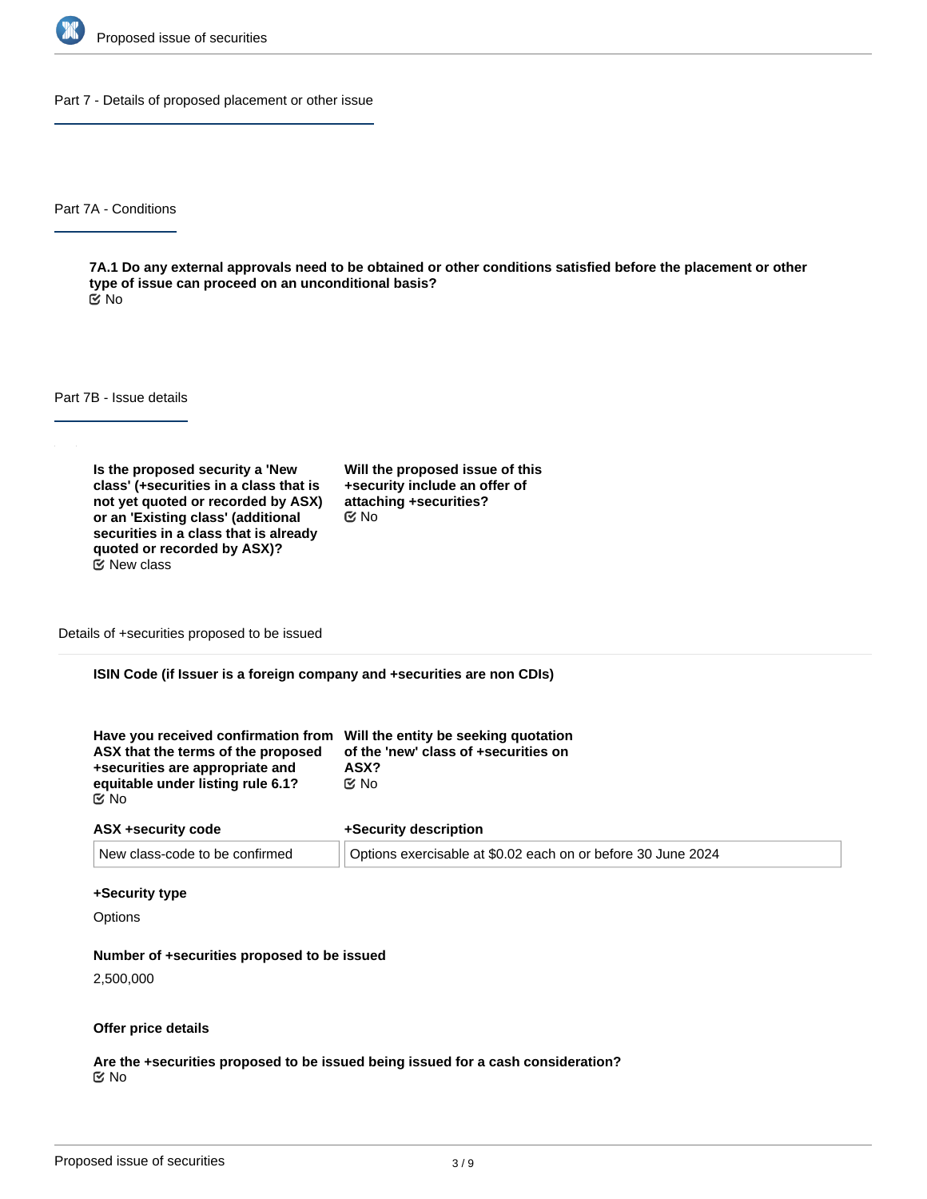

Part 7 - Details of proposed placement or other issue

Part 7A - Conditions

**7A.1 Do any external approvals need to be obtained or other conditions satisfied before the placement or other type of issue can proceed on an unconditional basis?** No

Part 7B - Issue details

**Is the proposed security a 'New class' (+securities in a class that is not yet quoted or recorded by ASX) or an 'Existing class' (additional securities in a class that is already quoted or recorded by ASX)?**  $E$  New class

**Will the proposed issue of this +security include an offer of attaching +securities?** No

Details of +securities proposed to be issued

**ISIN Code (if Issuer is a foreign company and +securities are non CDIs)**

| Have you received confirmation from Will the entity be seeking quotation |                                      |
|--------------------------------------------------------------------------|--------------------------------------|
| ASX that the terms of the proposed                                       | of the 'new' class of +securities on |
| +securities are appropriate and                                          | ASX?                                 |
| equitable under listing rule 6.1?                                        | ় No                                 |
| ় No                                                                     |                                      |

| ASX +security code             | +Security description                                        |
|--------------------------------|--------------------------------------------------------------|
| New class-code to be confirmed | Options exercisable at \$0.02 each on or before 30 June 2024 |

#### **+Security type**

**Options** 

#### **Number of +securities proposed to be issued**

2,500,000

#### **Offer price details**

**Are the +securities proposed to be issued being issued for a cash consideration?** No

**Please describe the consideration being provided for the +securities**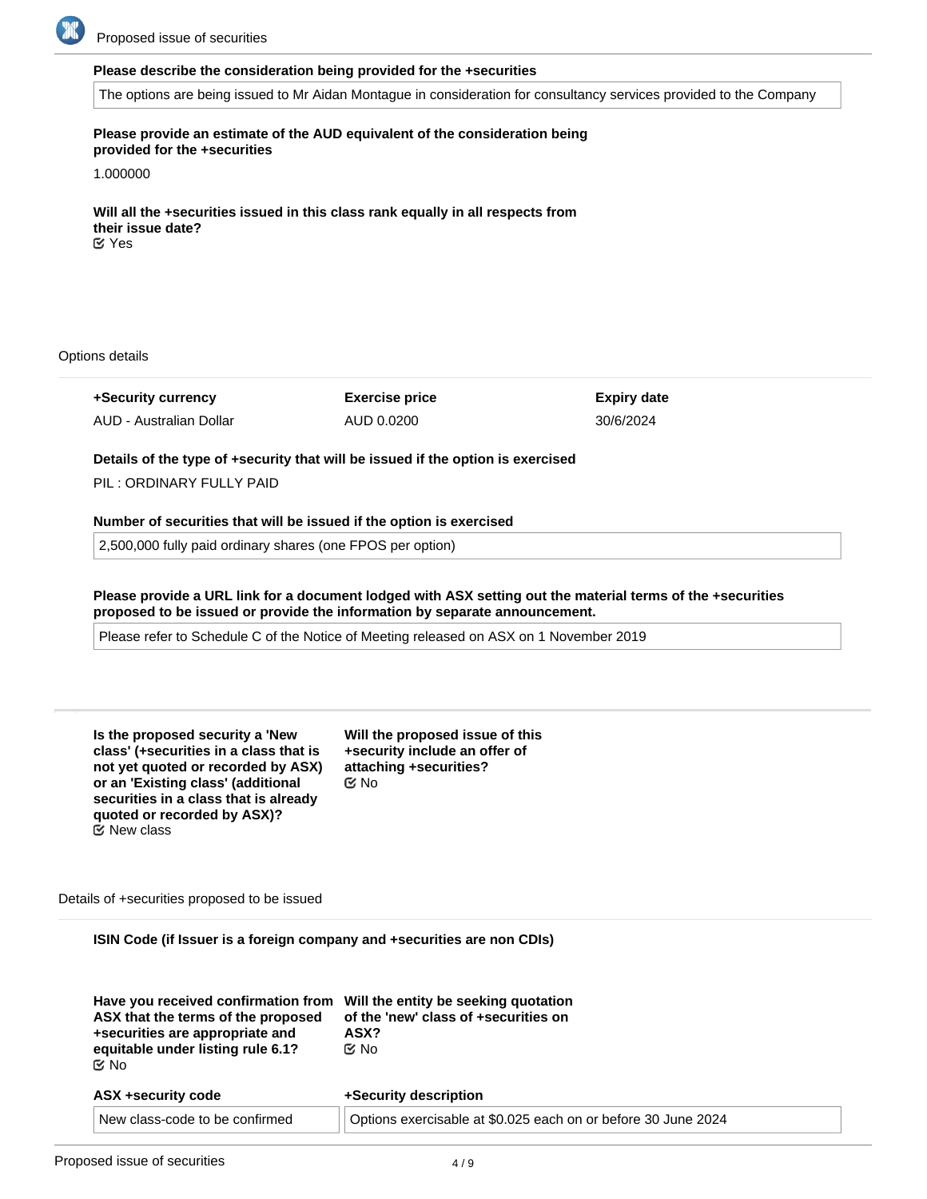

#### **Please describe the consideration being provided for the +securities**

The options are being issued to Mr Aidan Montague in consideration for consultancy services provided to the Company

**Please provide an estimate of the AUD equivalent of the consideration being provided for the +securities**

1.000000

**Will all the +securities issued in this class rank equally in all respects from their issue date?** Yes

Options details

**+Security currency**

AUD - Australian Dollar

**Exercise price** AUD 0.0200

**Expiry date** 30/6/2024

**Details of the type of +security that will be issued if the option is exercised**

PIL : ORDINARY FULLY PAID

**Number of securities that will be issued if the option is exercised**

2,500,000 fully paid ordinary shares (one FPOS per option)

**Please provide a URL link for a document lodged with ASX setting out the material terms of the +securities proposed to be issued or provide the information by separate announcement.**

Please refer to Schedule C of the Notice of Meeting released on ASX on 1 November 2019

| Is the proposed security a 'New        |
|----------------------------------------|
| class' (+securities in a class that is |
| not yet quoted or recorded by ASX)     |
| or an 'Existing class' (additional     |
| securities in a class that is already  |
| quoted or recorded by ASX)?            |
| $\mathfrak C$ New class                |

**Will the proposed issue of this +security include an offer of attaching +securities?** No

Details of +securities proposed to be issued

**ISIN Code (if Issuer is a foreign company and +securities are non CDIs)**

| Have you received confirmation from<br>ASX that the terms of the proposed<br>+securities are appropriate and<br>equitable under listing rule 6.1?<br>় No | Will the entity be seeking quotation<br>of the 'new' class of +securities on<br>ASX?<br>Mo No |
|-----------------------------------------------------------------------------------------------------------------------------------------------------------|-----------------------------------------------------------------------------------------------|
| ASX +security code                                                                                                                                        | +Security description                                                                         |
| New class-code to be confirmed                                                                                                                            | Options exercisable at \$0.025 each on or before 30 June 2024                                 |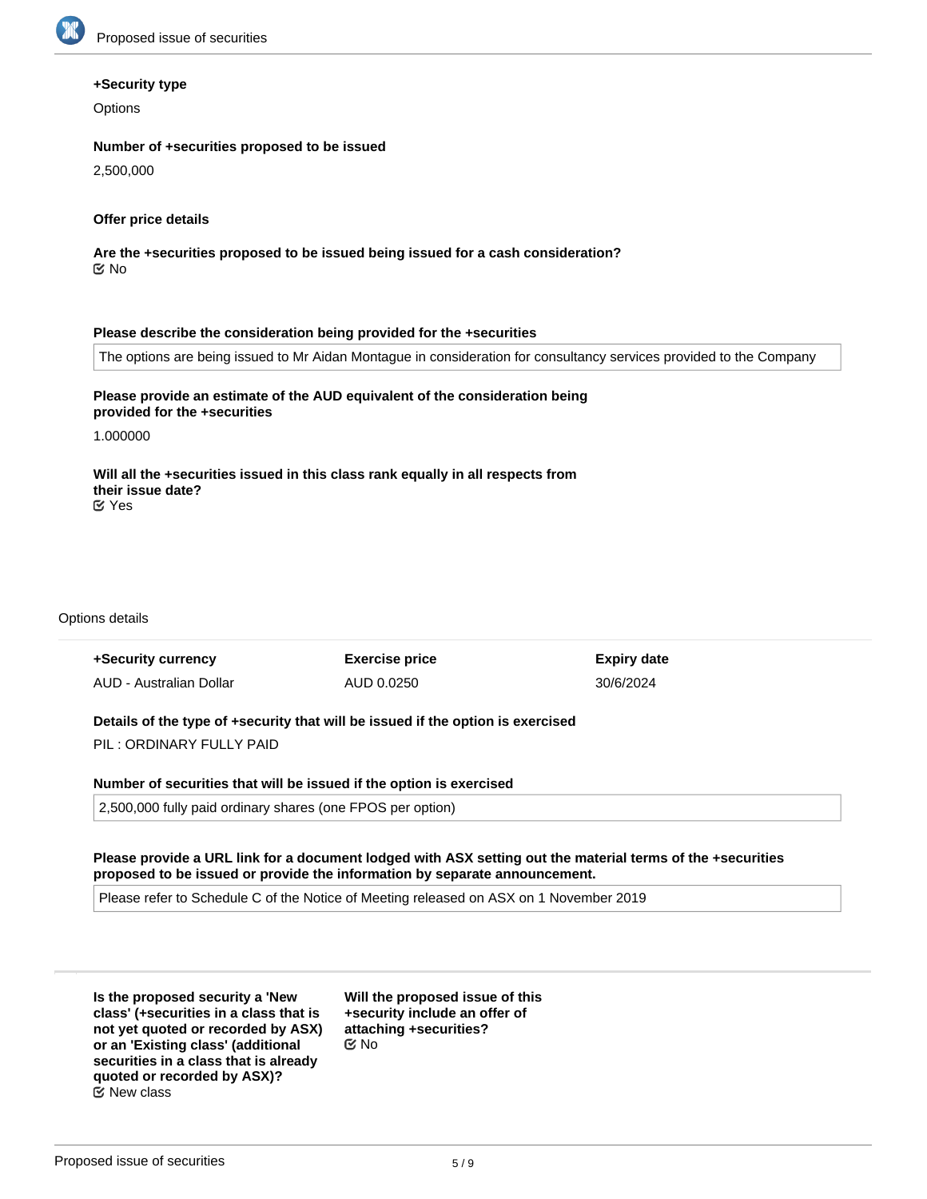

#### **+Security type**

**Options** 

# **Number of +securities proposed to be issued**

2,500,000

#### **Offer price details**

**Are the +securities proposed to be issued being issued for a cash consideration?** No

# **Please describe the consideration being provided for the +securities**

The options are being issued to Mr Aidan Montague in consideration for consultancy services provided to the Company

# **Please provide an estimate of the AUD equivalent of the consideration being provided for the +securities**

1.000000

**Will all the +securities issued in this class rank equally in all respects from their issue date?** Yes

#### Options details

|                                                    | +Security currency | <b>Exercise price</b> | <b>Expiry date</b> |
|----------------------------------------------------|--------------------|-----------------------|--------------------|
| 30/6/2024<br>AUD 0.0250<br>AUD - Australian Dollar |                    |                       |                    |

**Details of the type of +security that will be issued if the option is exercised** PIL : ORDINARY FULLY PAID

**Number of securities that will be issued if the option is exercised**

2,500,000 fully paid ordinary shares (one FPOS per option)

#### **Please provide a URL link for a document lodged with ASX setting out the material terms of the +securities proposed to be issued or provide the information by separate announcement.**

Please refer to Schedule C of the Notice of Meeting released on ASX on 1 November 2019

**Is the proposed security a 'New class' (+securities in a class that is not yet quoted or recorded by ASX) or an 'Existing class' (additional securities in a class that is already quoted or recorded by ASX)?**  $E$  New class

**Will the proposed issue of this +security include an offer of attaching +securities?** No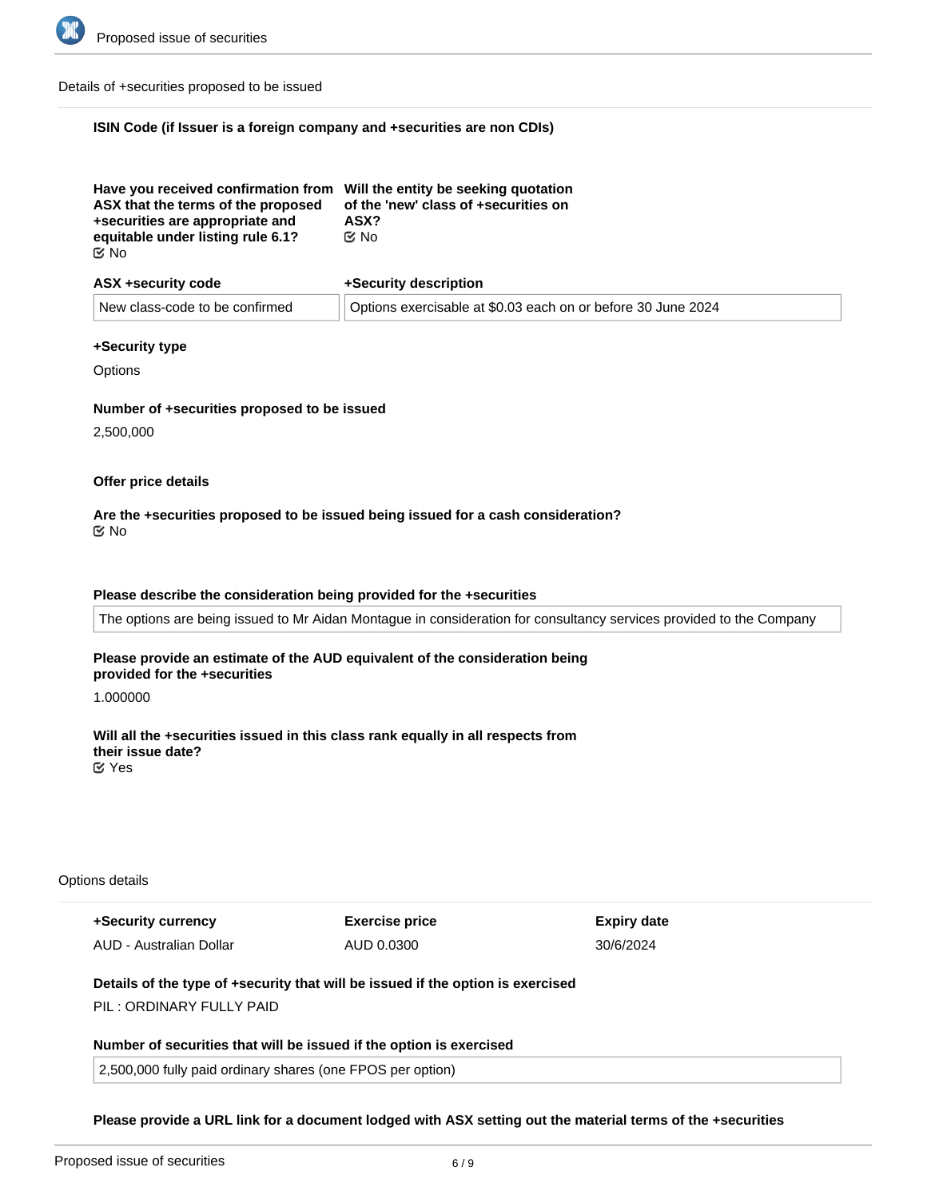

Details of +securities proposed to be issued

#### **ISIN Code (if Issuer is a foreign company and +securities are non CDIs)**

| Have you received confirmation from Will the entity be seeking quotation<br>ASX that the terms of the proposed<br>+securities are appropriate and<br>equitable under listing rule 6.1? | of the 'new' class of +securities on<br>ASX?<br>়⊠ No |
|----------------------------------------------------------------------------------------------------------------------------------------------------------------------------------------|-------------------------------------------------------|
| ©⁄ No                                                                                                                                                                                  |                                                       |

| ASX +security code             | +Security description                                        |
|--------------------------------|--------------------------------------------------------------|
| New class-code to be confirmed | Options exercisable at \$0.03 each on or before 30 June 2024 |

#### **+Security type**

**Options** 

# **Number of +securities proposed to be issued**

2,500,000

#### **Offer price details**

### **Are the +securities proposed to be issued being issued for a cash consideration?** No

#### **Please describe the consideration being provided for the +securities**

The options are being issued to Mr Aidan Montague in consideration for consultancy services provided to the Company

# **Please provide an estimate of the AUD equivalent of the consideration being provided for the +securities**

1.000000

**Will all the +securities issued in this class rank equally in all respects from their issue date?** Yes

#### Options details

**+Security currency** AUD - Australian Dollar **Exercise price** AUD 0.0300

**Expiry date** 30/6/2024

# **Details of the type of +security that will be issued if the option is exercised**

**proposed to be issued or provide the information by separate announcement.**

PIL : ORDINARY FULLY PAID

# **Number of securities that will be issued if the option is exercised**

2,500,000 fully paid ordinary shares (one FPOS per option)

**Please provide a URL link for a document lodged with ASX setting out the material terms of the +securities**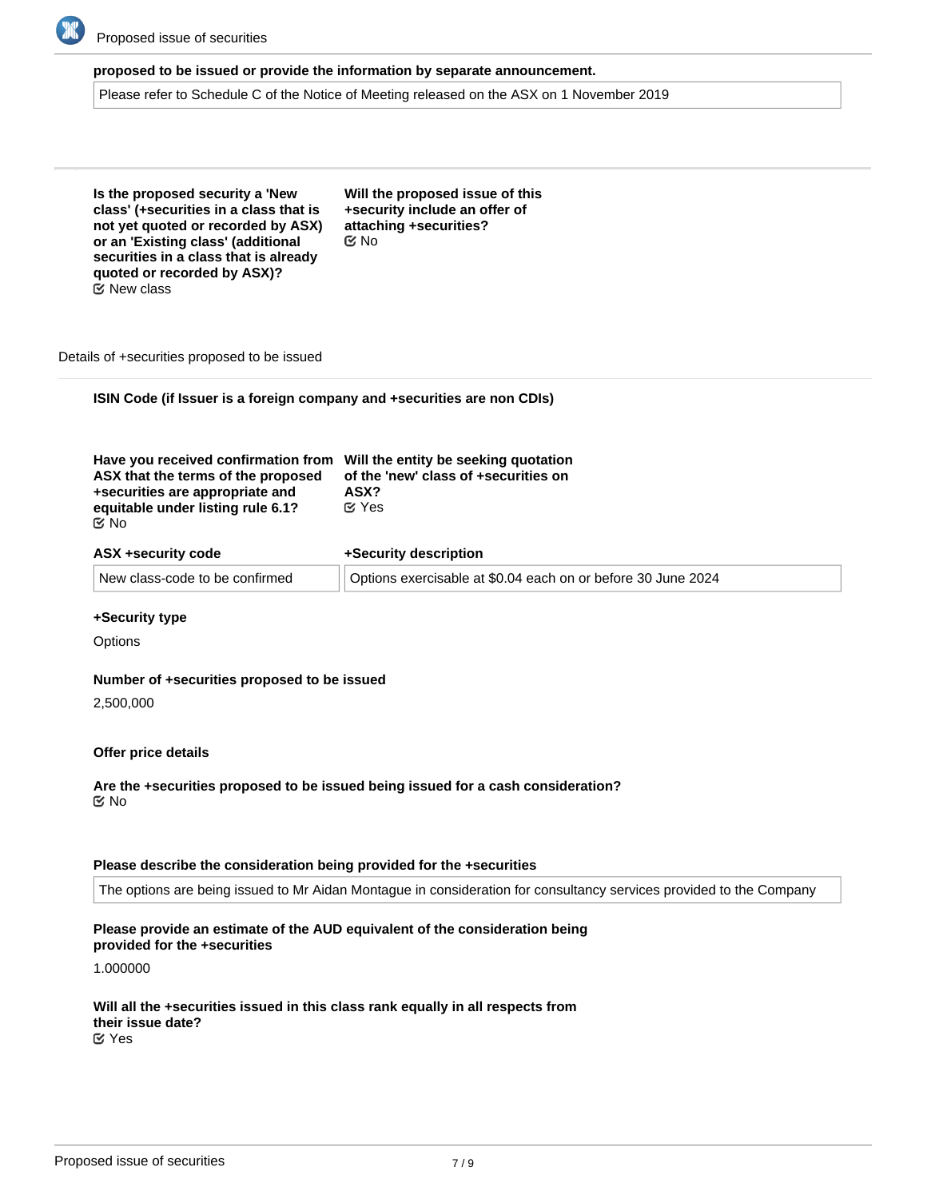

#### **proposed to be issued or provide the information by separate announcement.**

Please refer to Schedule C of the Notice of Meeting released on the ASX on 1 November 2019

**Is the proposed security a 'New class' (+securities in a class that is not yet quoted or recorded by ASX) or an 'Existing class' (additional securities in a class that is already quoted or recorded by ASX)?** New class

**Will the proposed issue of this +security include an offer of attaching +securities?** No

Details of +securities proposed to be issued

**ISIN Code (if Issuer is a foreign company and +securities are non CDIs)**

| Have you received confirmation from Will the entity be seeking quotation<br>ASX that the terms of the proposed<br>+securities are appropriate and<br>equitable under listing rule 6.1?<br>©⁄ No | of the 'new' class of +securities on<br>ASX?<br>$\mathfrak{C}$ Yes |
|-------------------------------------------------------------------------------------------------------------------------------------------------------------------------------------------------|--------------------------------------------------------------------|
| ASX +security code                                                                                                                                                                              | +Security description                                              |
| New class-code to be confirmed                                                                                                                                                                  | Options exercisable at \$0.04 each on or before 30 June 2024       |

#### **+Security type**

**Options** 

#### **Number of +securities proposed to be issued**

2,500,000

#### **Offer price details**

**Are the +securities proposed to be issued being issued for a cash consideration?** No

## **Please describe the consideration being provided for the +securities**

The options are being issued to Mr Aidan Montague in consideration for consultancy services provided to the Company

# **Please provide an estimate of the AUD equivalent of the consideration being**

**provided for the +securities**

1.000000

#### **Will all the +securities issued in this class rank equally in all respects from their issue date?** Yes

Proposed issue of securities 7/9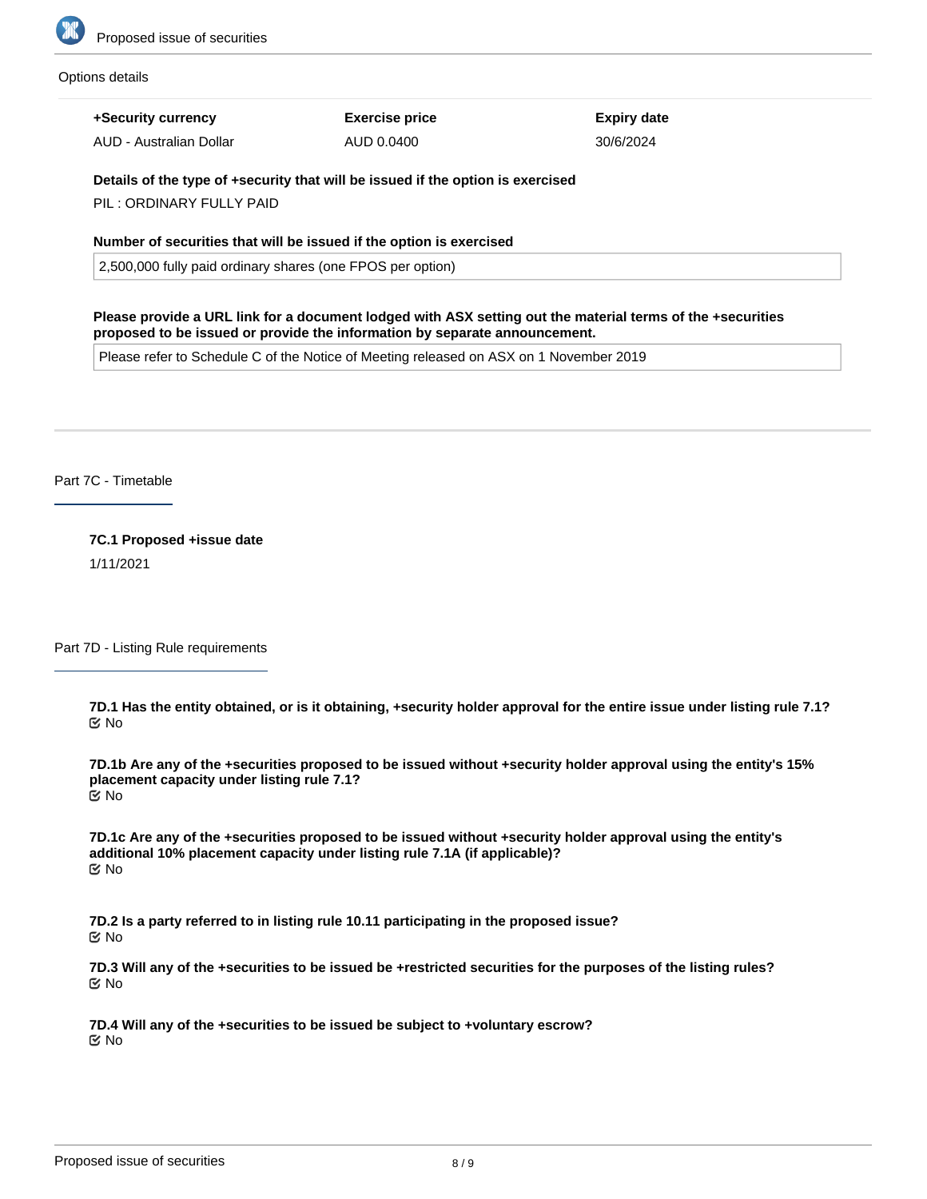

#### Options details

**+Security currency** AUD - Australian Dollar **Exercise price** AUD 0.0400

**Expiry date** 30/6/2024

**Details of the type of +security that will be issued if the option is exercised**

PIL : ORDINARY FULLY PAID

# **Number of securities that will be issued if the option is exercised**

2,500,000 fully paid ordinary shares (one FPOS per option)

**Please provide a URL link for a document lodged with ASX setting out the material terms of the +securities proposed to be issued or provide the information by separate announcement.**

Please refer to Schedule C of the Notice of Meeting released on ASX on 1 November 2019

Part 7C - Timetable

**7C.1 Proposed +issue date** 1/11/2021

Part 7D - Listing Rule requirements

**7D.1 Has the entity obtained, or is it obtaining, +security holder approval for the entire issue under listing rule 7.1?** No

**7D.1b Are any of the +securities proposed to be issued without +security holder approval using the entity's 15% placement capacity under listing rule 7.1?** No

**7D.1c Are any of the +securities proposed to be issued without +security holder approval using the entity's additional 10% placement capacity under listing rule 7.1A (if applicable)?** No

**7D.2 Is a party referred to in listing rule 10.11 participating in the proposed issue?** No

**7D.3 Will any of the +securities to be issued be +restricted securities for the purposes of the listing rules?** No

**7D.4 Will any of the +securities to be issued be subject to +voluntary escrow?** No